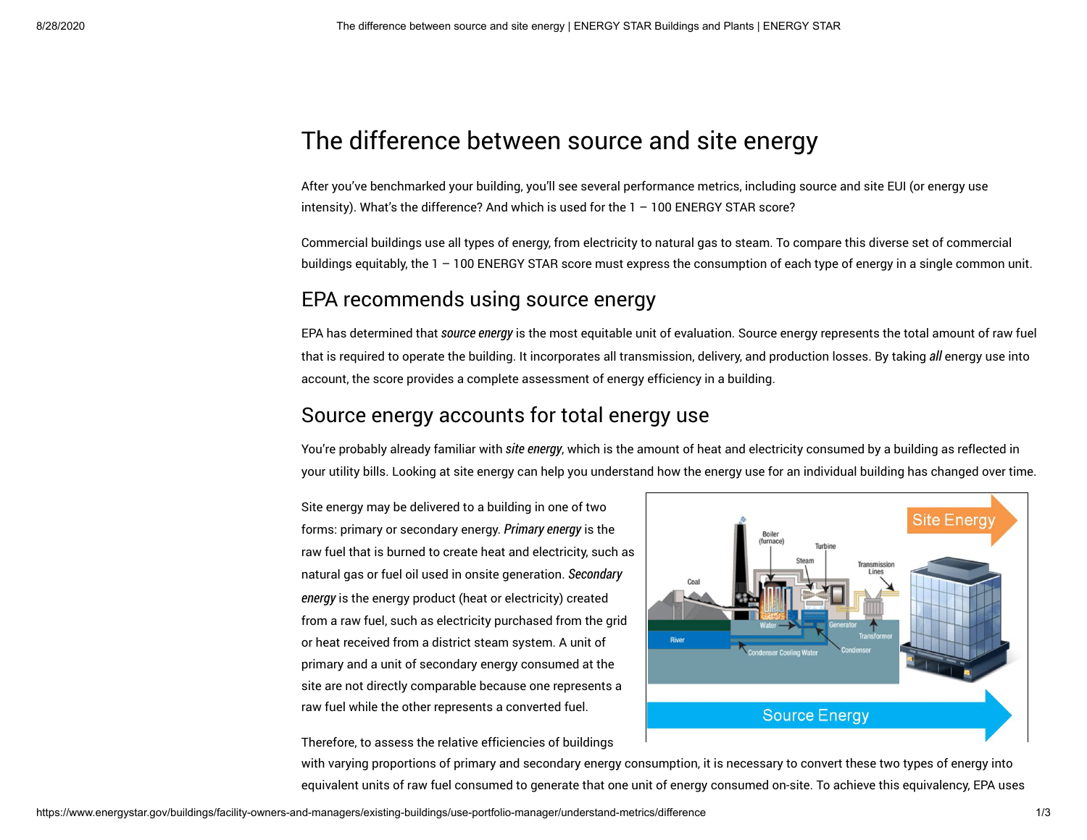# The difference between source and site energy

After you've benchmarked your building, you'll see several performance metrics, including source and site EUI (or energy use intensity). What's the difference? And which is used for the 1 – 100 ENERGY STAR score?

Commercial buildings use all types of energy, from electricity to natural gas to steam. To compare this diverse set of commercial buildings equitably, the 1 – 100 ENERGY STAR score must express the consumption of each type of energy in a single common unit.

### EPA recommends using source energy

EPA has determined that source energy is the most equitable unit of evaluation. Source energy represents the total amount of raw fuel that is required to operate the building. It incorporates all transmission, delivery, and production losses. By taking all energy use into account, the score provides a complete assessment of energy efficiency in a building.

### Source energy accounts for total energy use

You're probably already familiar with site energy, which is the amount of heat and electricity consumed by a building as reflected in your utility bills. Looking at site energy can help you understand how the energy use for an individual building has changed over time.

Site energy may be delivered to a building in one of two forms: primary or secondary energy. Primary energy is the raw fuel that is burned to create heat and electricity, such as natural gas or fuel oil used in onsite generation. Secondary energy is the energy product (heat or electricity) created from a raw fuel, such as electricity purchased from the grid or heat received from a district steam system. A unit of primary and a unit of secondary energy consumed at the site are not directly comparable because one represents a raw fuel while the other represents a converted fuel.



Therefore, to assess the relative efficiencies of buildings

with varying proportions of primary and secondary energy consumption, it is necessary to convert these two types of energy into equivalent units of raw fuel consumed to generate that one unit of energy consumed on-site. To achieve this equivalency, EPA uses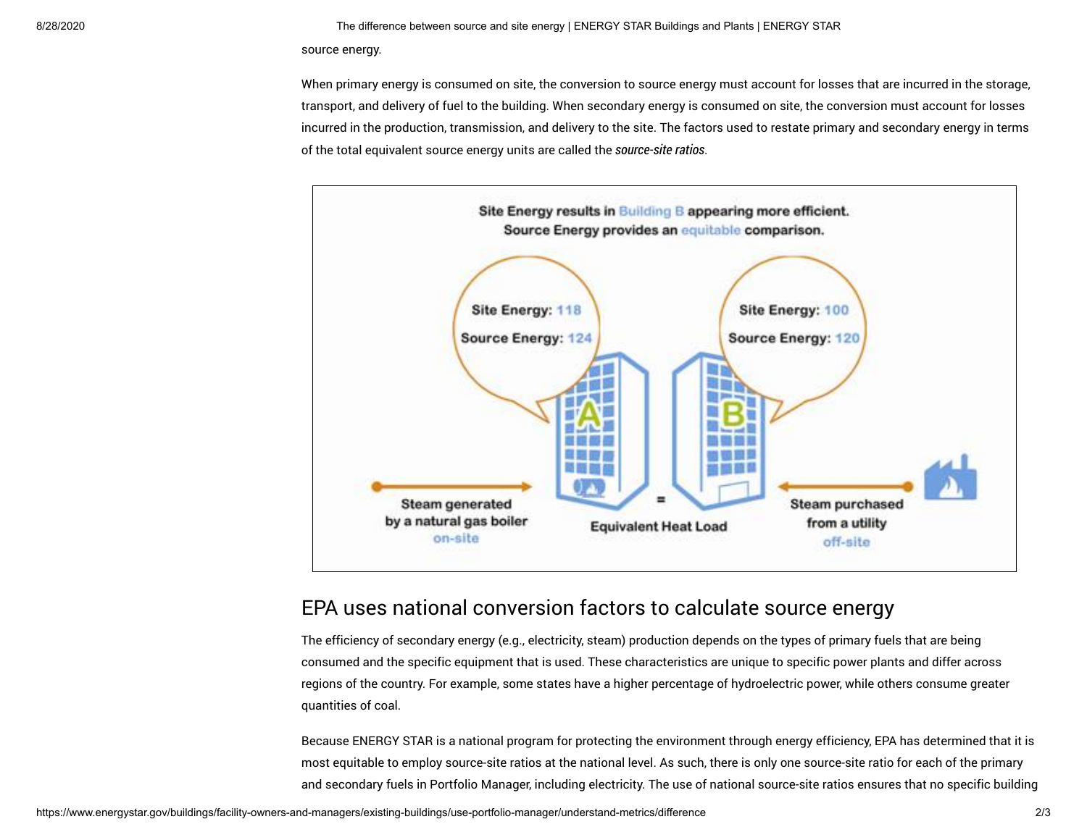#### 8/28/2020 The difference between source and site energy | ENERGY STAR Buildings and Plants | ENERGY STAR

source energy.

When primary energy is consumed on site, the conversion to source energy must account for losses that are incurred in the storage. transport, and delivery of fuel to the building. When secondary energy is consumed on site, the conversion must account for losses incurred in the production, transmission, and delivery to the site. The factors used to restate primary and secondary energy in terms of the total equivalent source energy units are called the source-site ratios.



### EPA uses national conversion factors to calculate source energy

The efficiency of secondary energy (e.g., electricity, steam) production depends on the types of primary fuels that are being consumed and the specific equipment that is used. These characteristics are unique to specific power plants and differ across regions of the country. For example, some states have a higher percentage of hydroelectric power, while others consume greater quantities of coal.

Because ENERGY STAR is a national program for protecting the environment through energy efficiency, EPA has determined that it is most equitable to employ source-site ratios at the national level. As such, there is only one source-site ratio for each of the primary and secondary fuels in Portfolio Manager, including electricity. The use of national source-site ratios ensures that no specific building